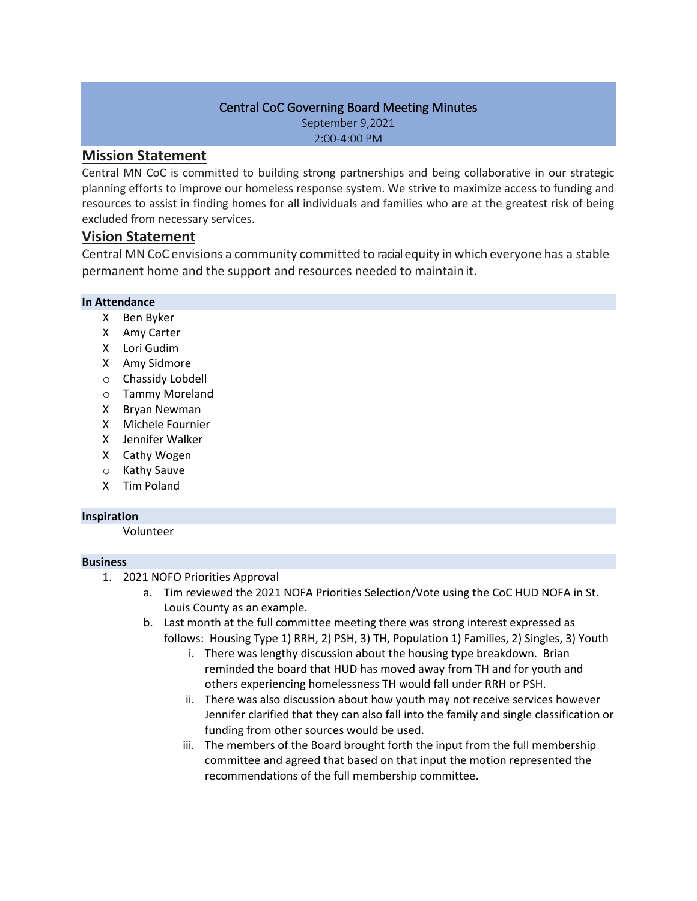## Central CoC Governing Board Meeting Minutes

September 9,2021 2:00-4:00 PM

# **Mission Statement**

Central MN CoC is committed to building strong partnerships and being collaborative in our strategic planning efforts to improve our homeless response system. We strive to maximize access to funding and resources to assist in finding homes for all individuals and families who are at the greatest risk of being excluded from necessary services.

# **Vision Statement**

Central MN CoC envisions a community committed to racialequity in which everyone has a stable permanent home and the support and resources needed to maintain it.

### **In Attendance**

- X Ben Byker
- X Amy Carter
- X Lori Gudim
- X Amy Sidmore
- o Chassidy Lobdell
- o Tammy Moreland
- X Bryan Newman
- X Michele Fournier
- X Jennifer Walker
- X Cathy Wogen
- o Kathy Sauve
- X Tim Poland

#### **Inspiration**

Volunteer

#### **Business**

- 1. 2021 NOFO Priorities Approval
	- a. Tim reviewed the 2021 NOFA Priorities Selection/Vote using the CoC HUD NOFA in St. Louis County as an example.
	- b. Last month at the full committee meeting there was strong interest expressed as follows: Housing Type 1) RRH, 2) PSH, 3) TH, Population 1) Families, 2) Singles, 3) Youth
		- i. There was lengthy discussion about the housing type breakdown. Brian reminded the board that HUD has moved away from TH and for youth and others experiencing homelessness TH would fall under RRH or PSH.
		- ii. There was also discussion about how youth may not receive services however Jennifer clarified that they can also fall into the family and single classification or funding from other sources would be used.
		- iii. The members of the Board brought forth the input from the full membership committee and agreed that based on that input the motion represented the recommendations of the full membership committee.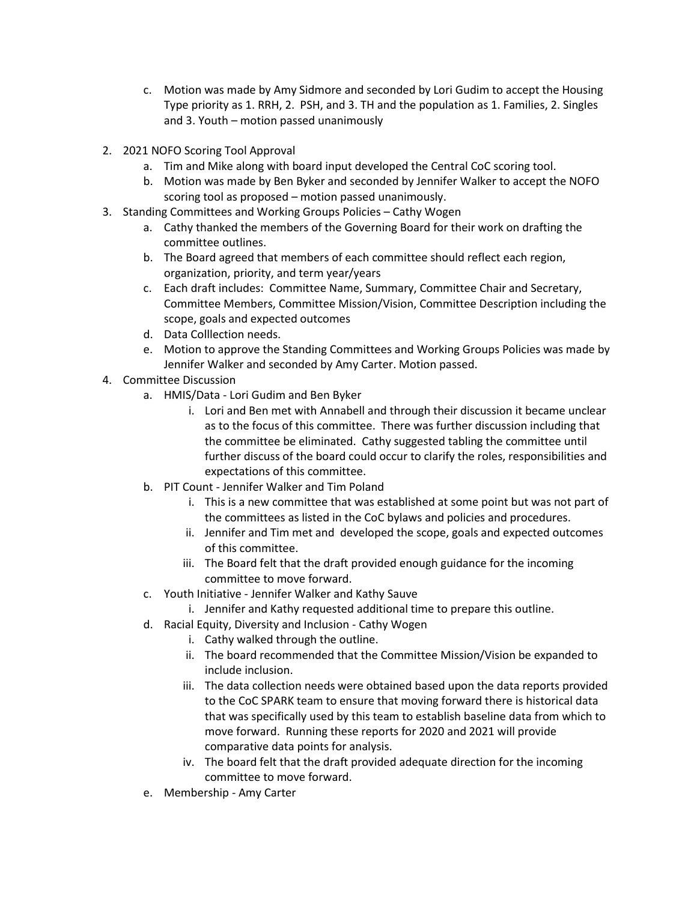- c. Motion was made by Amy Sidmore and seconded by Lori Gudim to accept the Housing Type priority as 1. RRH, 2. PSH, and 3. TH and the population as 1. Families, 2. Singles and 3. Youth – motion passed unanimously
- 2. 2021 NOFO Scoring Tool Approval
	- a. Tim and Mike along with board input developed the Central CoC scoring tool.
	- b. Motion was made by Ben Byker and seconded by Jennifer Walker to accept the NOFO scoring tool as proposed – motion passed unanimously.
- 3. Standing Committees and Working Groups Policies Cathy Wogen
	- a. Cathy thanked the members of the Governing Board for their work on drafting the committee outlines.
	- b. The Board agreed that members of each committee should reflect each region, organization, priority, and term year/years
	- c. Each draft includes: Committee Name, Summary, Committee Chair and Secretary, Committee Members, Committee Mission/Vision, Committee Description including the scope, goals and expected outcomes
	- d. Data Colllection needs.
	- e. Motion to approve the Standing Committees and Working Groups Policies was made by Jennifer Walker and seconded by Amy Carter. Motion passed.
- 4. Committee Discussion
	- a. HMIS/Data Lori Gudim and Ben Byker
		- i. Lori and Ben met with Annabell and through their discussion it became unclear as to the focus of this committee. There was further discussion including that the committee be eliminated. Cathy suggested tabling the committee until further discuss of the board could occur to clarify the roles, responsibilities and expectations of this committee.
	- b. PIT Count Jennifer Walker and Tim Poland
		- i. This is a new committee that was established at some point but was not part of the committees as listed in the CoC bylaws and policies and procedures.
		- ii. Jennifer and Tim met and developed the scope, goals and expected outcomes of this committee.
		- iii. The Board felt that the draft provided enough guidance for the incoming committee to move forward.
	- c. Youth Initiative Jennifer Walker and Kathy Sauve
		- i. Jennifer and Kathy requested additional time to prepare this outline.
	- d. Racial Equity, Diversity and Inclusion Cathy Wogen
		- i. Cathy walked through the outline.
		- ii. The board recommended that the Committee Mission/Vision be expanded to include inclusion.
		- iii. The data collection needs were obtained based upon the data reports provided to the CoC SPARK team to ensure that moving forward there is historical data that was specifically used by this team to establish baseline data from which to move forward. Running these reports for 2020 and 2021 will provide comparative data points for analysis.
		- iv. The board felt that the draft provided adequate direction for the incoming committee to move forward.
	- e. Membership Amy Carter